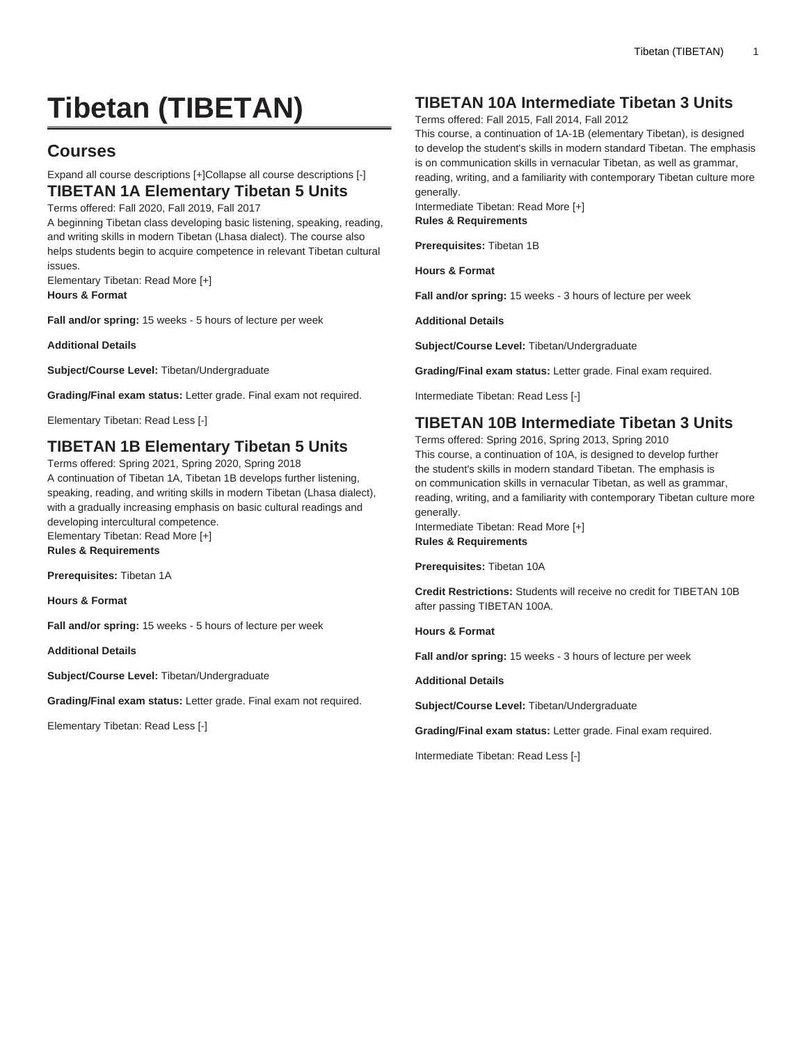# **Tibetan (TIBETAN)**

# **Courses**

# Expand all course descriptions [+]Collapse all course descriptions [-]

### **TIBETAN 1A Elementary Tibetan 5 Units** Terms offered: Fall 2020, Fall 2019, Fall 2017

A beginning Tibetan class developing basic listening, speaking, reading, and writing skills in modern Tibetan (Lhasa dialect). The course also helps students begin to acquire competence in relevant Tibetan cultural issues.

Elementary Tibetan: Read More [+] **Hours & Format**

**Fall and/or spring:** 15 weeks - 5 hours of lecture per week

**Additional Details**

**Subject/Course Level:** Tibetan/Undergraduate

**Grading/Final exam status:** Letter grade. Final exam not required.

Elementary Tibetan: Read Less [-]

# **TIBETAN 1B Elementary Tibetan 5 Units**

Terms offered: Spring 2021, Spring 2020, Spring 2018 A continuation of Tibetan 1A, Tibetan 1B develops further listening, speaking, reading, and writing skills in modern Tibetan (Lhasa dialect), with a gradually increasing emphasis on basic cultural readings and developing intercultural competence. Elementary Tibetan: Read More [+] **Rules & Requirements**

**Prerequisites:** Tibetan 1A

**Hours & Format**

**Fall and/or spring:** 15 weeks - 5 hours of lecture per week

**Additional Details**

**Subject/Course Level:** Tibetan/Undergraduate

**Grading/Final exam status:** Letter grade. Final exam not required.

Elementary Tibetan: Read Less [-]

# **TIBETAN 10A Intermediate Tibetan 3 Units**

Terms offered: Fall 2015, Fall 2014, Fall 2012

This course, a continuation of 1A-1B (elementary Tibetan), is designed to develop the student's skills in modern standard Tibetan. The emphasis is on communication skills in vernacular Tibetan, as well as grammar, reading, writing, and a familiarity with contemporary Tibetan culture more generally.

Intermediate Tibetan: Read More [+] **Rules & Requirements**

**Prerequisites:** Tibetan 1B

**Hours & Format**

**Fall and/or spring:** 15 weeks - 3 hours of lecture per week

**Additional Details**

**Subject/Course Level:** Tibetan/Undergraduate

**Grading/Final exam status:** Letter grade. Final exam required.

Intermediate Tibetan: Read Less [-]

# **TIBETAN 10B Intermediate Tibetan 3 Units**

Terms offered: Spring 2016, Spring 2013, Spring 2010 This course, a continuation of 10A, is designed to develop further the student's skills in modern standard Tibetan. The emphasis is on communication skills in vernacular Tibetan, as well as grammar, reading, writing, and a familiarity with contemporary Tibetan culture more generally.

Intermediate Tibetan: Read More [+] **Rules & Requirements**

**Prerequisites:** Tibetan 10A

**Credit Restrictions:** Students will receive no credit for [TIBETAN 10B](/search/?P=TIBETAN%2010B) after passing TIBETAN 100A.

**Hours & Format**

**Fall and/or spring:** 15 weeks - 3 hours of lecture per week

**Additional Details**

**Subject/Course Level:** Tibetan/Undergraduate

**Grading/Final exam status:** Letter grade. Final exam required.

Intermediate Tibetan: Read Less [-]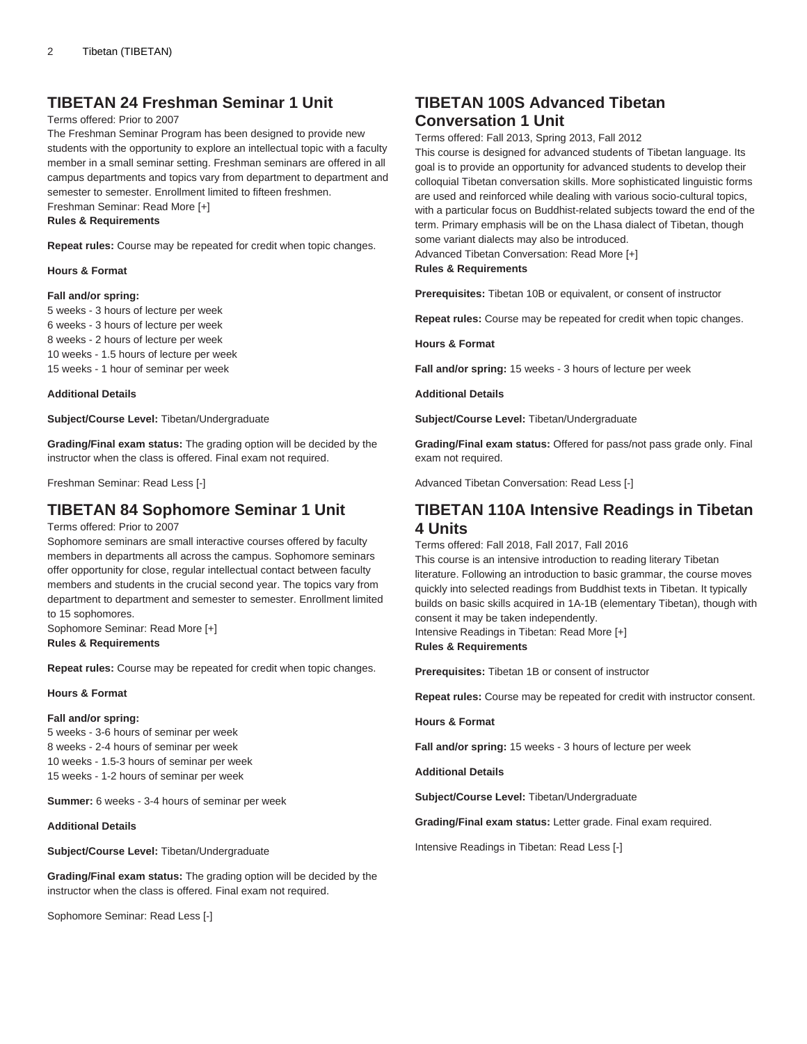### **TIBETAN 24 Freshman Seminar 1 Unit**

#### Terms offered: Prior to 2007

The Freshman Seminar Program has been designed to provide new students with the opportunity to explore an intellectual topic with a faculty member in a small seminar setting. Freshman seminars are offered in all campus departments and topics vary from department to department and semester to semester. Enrollment limited to fifteen freshmen.

Freshman Seminar: Read More [+]

**Rules & Requirements**

**Repeat rules:** Course may be repeated for credit when topic changes.

#### **Hours & Format**

#### **Fall and/or spring:**

5 weeks - 3 hours of lecture per week 6 weeks - 3 hours of lecture per week

8 weeks - 2 hours of lecture per week

10 weeks - 1.5 hours of lecture per week

15 weeks - 1 hour of seminar per week

#### **Additional Details**

**Subject/Course Level:** Tibetan/Undergraduate

**Grading/Final exam status:** The grading option will be decided by the instructor when the class is offered. Final exam not required.

Freshman Seminar: Read Less [-]

### **TIBETAN 84 Sophomore Seminar 1 Unit**

Terms offered: Prior to 2007

Sophomore seminars are small interactive courses offered by faculty members in departments all across the campus. Sophomore seminars offer opportunity for close, regular intellectual contact between faculty members and students in the crucial second year. The topics vary from department to department and semester to semester. Enrollment limited to 15 sophomores.

Sophomore Seminar: Read More [+] **Rules & Requirements**

**Repeat rules:** Course may be repeated for credit when topic changes.

#### **Hours & Format**

#### **Fall and/or spring:**

5 weeks - 3-6 hours of seminar per week 8 weeks - 2-4 hours of seminar per week 10 weeks - 1.5-3 hours of seminar per week 15 weeks - 1-2 hours of seminar per week

**Summer:** 6 weeks - 3-4 hours of seminar per week

### **Additional Details**

**Subject/Course Level:** Tibetan/Undergraduate

**Grading/Final exam status:** The grading option will be decided by the instructor when the class is offered. Final exam not required.

Sophomore Seminar: Read Less [-]

### **TIBETAN 100S Advanced Tibetan Conversation 1 Unit**

Terms offered: Fall 2013, Spring 2013, Fall 2012

This course is designed for advanced students of Tibetan language. Its goal is to provide an opportunity for advanced students to develop their colloquial Tibetan conversation skills. More sophisticated linguistic forms are used and reinforced while dealing with various socio-cultural topics, with a particular focus on Buddhist-related subjects toward the end of the term. Primary emphasis will be on the Lhasa dialect of Tibetan, though some variant dialects may also be introduced.

Advanced Tibetan Conversation: Read More [+]

### **Rules & Requirements**

**Prerequisites:** Tibetan 10B or equivalent, or consent of instructor

**Repeat rules:** Course may be repeated for credit when topic changes.

**Hours & Format**

**Fall and/or spring:** 15 weeks - 3 hours of lecture per week

**Additional Details**

**Subject/Course Level:** Tibetan/Undergraduate

**Grading/Final exam status:** Offered for pass/not pass grade only. Final exam not required.

Advanced Tibetan Conversation: Read Less [-]

### **TIBETAN 110A Intensive Readings in Tibetan 4 Units**

Terms offered: Fall 2018, Fall 2017, Fall 2016

This course is an intensive introduction to reading literary Tibetan literature. Following an introduction to basic grammar, the course moves quickly into selected readings from Buddhist texts in Tibetan. It typically builds on basic skills acquired in 1A-1B (elementary Tibetan), though with consent it may be taken independently.

Intensive Readings in Tibetan: Read More [+]

### **Rules & Requirements**

**Prerequisites:** Tibetan 1B or consent of instructor

**Repeat rules:** Course may be repeated for credit with instructor consent.

**Hours & Format**

**Fall and/or spring:** 15 weeks - 3 hours of lecture per week

**Additional Details**

**Subject/Course Level:** Tibetan/Undergraduate

**Grading/Final exam status:** Letter grade. Final exam required.

Intensive Readings in Tibetan: Read Less [-]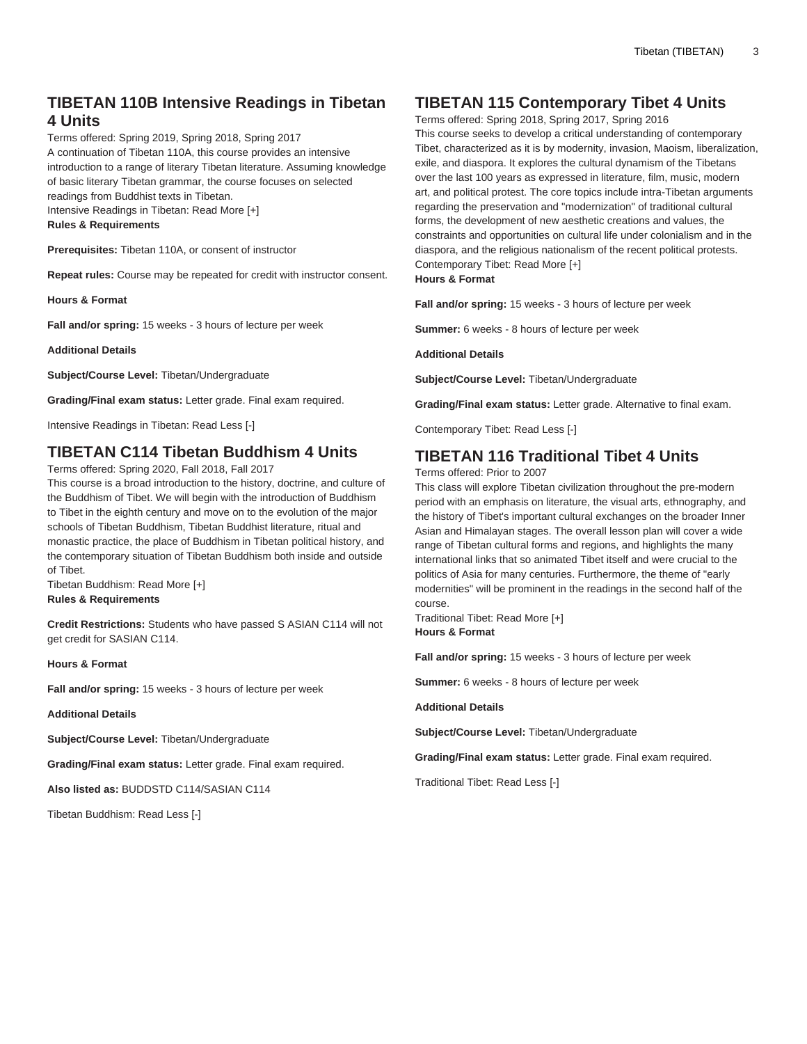## **TIBETAN 110B Intensive Readings in Tibetan 4 Units**

Terms offered: Spring 2019, Spring 2018, Spring 2017 A continuation of Tibetan 110A, this course provides an intensive introduction to a range of literary Tibetan literature. Assuming knowledge of basic literary Tibetan grammar, the course focuses on selected readings from Buddhist texts in Tibetan. Intensive Readings in Tibetan: Read More [+]

**Rules & Requirements**

**Prerequisites:** Tibetan 110A, or consent of instructor

**Repeat rules:** Course may be repeated for credit with instructor consent.

**Hours & Format**

**Fall and/or spring:** 15 weeks - 3 hours of lecture per week

**Additional Details**

**Subject/Course Level:** Tibetan/Undergraduate

**Grading/Final exam status:** Letter grade. Final exam required.

Intensive Readings in Tibetan: Read Less [-]

### **TIBETAN C114 Tibetan Buddhism 4 Units**

Terms offered: Spring 2020, Fall 2018, Fall 2017

This course is a broad introduction to the history, doctrine, and culture of the Buddhism of Tibet. We will begin with the introduction of Buddhism to Tibet in the eighth century and move on to the evolution of the major schools of Tibetan Buddhism, Tibetan Buddhist literature, ritual and monastic practice, the place of Buddhism in Tibetan political history, and the contemporary situation of Tibetan Buddhism both inside and outside of Tibet.

Tibetan Buddhism: Read More [+] **Rules & Requirements**

**Credit Restrictions:** Students who have passed S ASIAN C114 will not get credit for [SASIAN C114](/search/?P=SASIAN%20C114).

**Hours & Format**

**Fall and/or spring:** 15 weeks - 3 hours of lecture per week

**Additional Details**

**Subject/Course Level:** Tibetan/Undergraduate

**Grading/Final exam status:** Letter grade. Final exam required.

**Also listed as:** BUDDSTD C114/SASIAN C114

Tibetan Buddhism: Read Less [-]

### **TIBETAN 115 Contemporary Tibet 4 Units**

Terms offered: Spring 2018, Spring 2017, Spring 2016 This course seeks to develop a critical understanding of contemporary Tibet, characterized as it is by modernity, invasion, Maoism, liberalization, exile, and diaspora. It explores the cultural dynamism of the Tibetans over the last 100 years as expressed in literature, film, music, modern art, and political protest. The core topics include intra-Tibetan arguments regarding the preservation and "modernization" of traditional cultural forms, the development of new aesthetic creations and values, the constraints and opportunities on cultural life under colonialism and in the diaspora, and the religious nationalism of the recent political protests. Contemporary Tibet: Read More [+]

**Hours & Format**

**Fall and/or spring:** 15 weeks - 3 hours of lecture per week

**Summer:** 6 weeks - 8 hours of lecture per week

**Additional Details**

**Subject/Course Level:** Tibetan/Undergraduate

**Grading/Final exam status:** Letter grade. Alternative to final exam.

Contemporary Tibet: Read Less [-]

### **TIBETAN 116 Traditional Tibet 4 Units**

Terms offered: Prior to 2007

This class will explore Tibetan civilization throughout the pre-modern period with an emphasis on literature, the visual arts, ethnography, and the history of Tibet's important cultural exchanges on the broader Inner Asian and Himalayan stages. The overall lesson plan will cover a wide range of Tibetan cultural forms and regions, and highlights the many international links that so animated Tibet itself and were crucial to the politics of Asia for many centuries. Furthermore, the theme of "early modernities" will be prominent in the readings in the second half of the course.

Traditional Tibet: Read More [+] **Hours & Format**

**Fall and/or spring:** 15 weeks - 3 hours of lecture per week

**Summer:** 6 weeks - 8 hours of lecture per week

**Additional Details**

**Subject/Course Level:** Tibetan/Undergraduate

**Grading/Final exam status:** Letter grade. Final exam required.

Traditional Tibet: Read Less [-]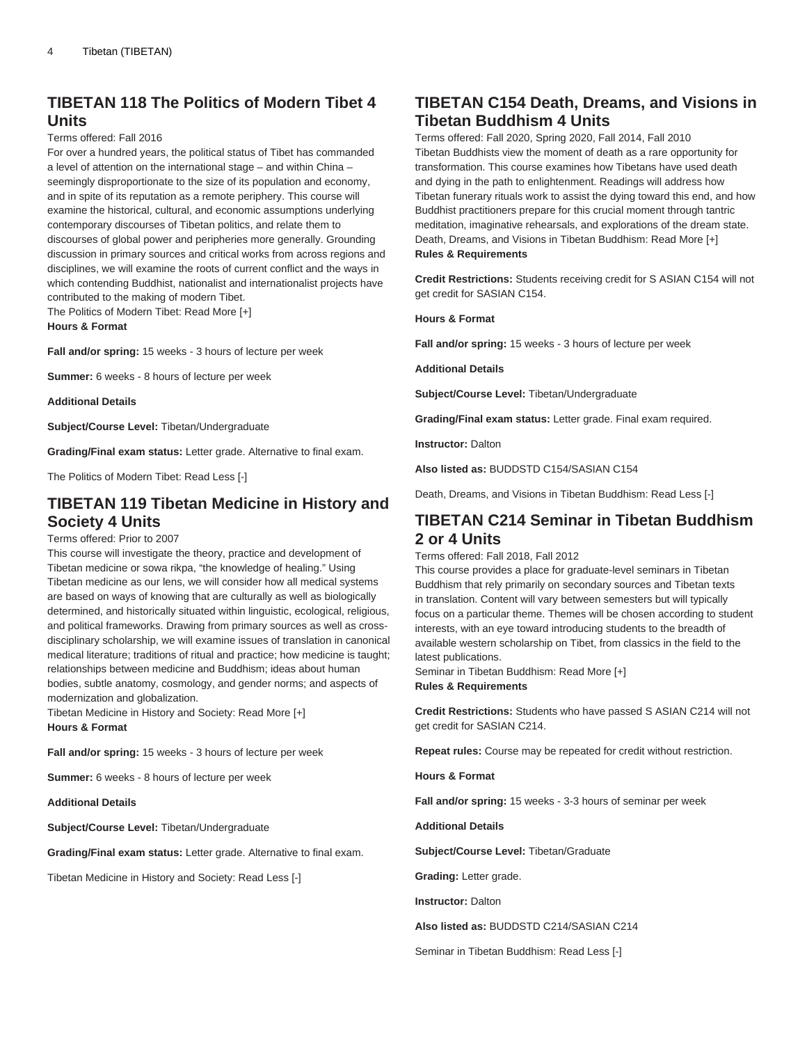### **TIBETAN 118 The Politics of Modern Tibet 4 Units**

Terms offered: Fall 2016

For over a hundred years, the political status of Tibet has commanded a level of attention on the international stage – and within China – seemingly disproportionate to the size of its population and economy, and in spite of its reputation as a remote periphery. This course will examine the historical, cultural, and economic assumptions underlying contemporary discourses of Tibetan politics, and relate them to discourses of global power and peripheries more generally. Grounding discussion in primary sources and critical works from across regions and disciplines, we will examine the roots of current conflict and the ways in which contending Buddhist, nationalist and internationalist projects have contributed to the making of modern Tibet.

The Politics of Modern Tibet: Read More [+] **Hours & Format**

**Fall and/or spring:** 15 weeks - 3 hours of lecture per week

**Summer:** 6 weeks - 8 hours of lecture per week

**Additional Details**

**Subject/Course Level:** Tibetan/Undergraduate

**Grading/Final exam status:** Letter grade. Alternative to final exam.

The Politics of Modern Tibet: Read Less [-]

### **TIBETAN 119 Tibetan Medicine in History and Society 4 Units**

#### Terms offered: Prior to 2007

This course will investigate the theory, practice and development of Tibetan medicine or sowa rikpa, "the knowledge of healing." Using Tibetan medicine as our lens, we will consider how all medical systems are based on ways of knowing that are culturally as well as biologically determined, and historically situated within linguistic, ecological, religious, and political frameworks. Drawing from primary sources as well as crossdisciplinary scholarship, we will examine issues of translation in canonical medical literature; traditions of ritual and practice; how medicine is taught; relationships between medicine and Buddhism; ideas about human bodies, subtle anatomy, cosmology, and gender norms; and aspects of modernization and globalization.

Tibetan Medicine in History and Society: Read More [+] **Hours & Format**

**Fall and/or spring:** 15 weeks - 3 hours of lecture per week

**Summer:** 6 weeks - 8 hours of lecture per week

#### **Additional Details**

**Subject/Course Level:** Tibetan/Undergraduate

**Grading/Final exam status:** Letter grade. Alternative to final exam.

Tibetan Medicine in History and Society: Read Less [-]

### **TIBETAN C154 Death, Dreams, and Visions in Tibetan Buddhism 4 Units**

Terms offered: Fall 2020, Spring 2020, Fall 2014, Fall 2010 Tibetan Buddhists view the moment of death as a rare opportunity for transformation. This course examines how Tibetans have used death and dying in the path to enlightenment. Readings will address how Tibetan funerary rituals work to assist the dying toward this end, and how Buddhist practitioners prepare for this crucial moment through tantric meditation, imaginative rehearsals, and explorations of the dream state. Death, Dreams, and Visions in Tibetan Buddhism: Read More [+] **Rules & Requirements**

**Credit Restrictions:** Students receiving credit for S ASIAN C154 will not get credit for [SASIAN C154](/search/?P=SASIAN%20C154).

**Hours & Format**

**Fall and/or spring:** 15 weeks - 3 hours of lecture per week

**Additional Details**

**Subject/Course Level:** Tibetan/Undergraduate

**Grading/Final exam status:** Letter grade. Final exam required.

**Instructor:** Dalton

**Also listed as:** BUDDSTD C154/SASIAN C154

Death, Dreams, and Visions in Tibetan Buddhism: Read Less [-]

### **TIBETAN C214 Seminar in Tibetan Buddhism 2 or 4 Units**

Terms offered: Fall 2018, Fall 2012

This course provides a place for graduate-level seminars in Tibetan Buddhism that rely primarily on secondary sources and Tibetan texts in translation. Content will vary between semesters but will typically focus on a particular theme. Themes will be chosen according to student interests, with an eye toward introducing students to the breadth of available western scholarship on Tibet, from classics in the field to the latest publications.

Seminar in Tibetan Buddhism: Read More [+] **Rules & Requirements**

**Credit Restrictions:** Students who have passed S ASIAN C214 will not get credit for [SASIAN C214](/search/?P=SASIAN%20C214).

**Repeat rules:** Course may be repeated for credit without restriction.

**Hours & Format**

**Fall and/or spring:** 15 weeks - 3-3 hours of seminar per week

**Additional Details**

**Subject/Course Level:** Tibetan/Graduate

**Grading:** Letter grade.

**Instructor:** Dalton

**Also listed as:** BUDDSTD C214/SASIAN C214

Seminar in Tibetan Buddhism: Read Less [-]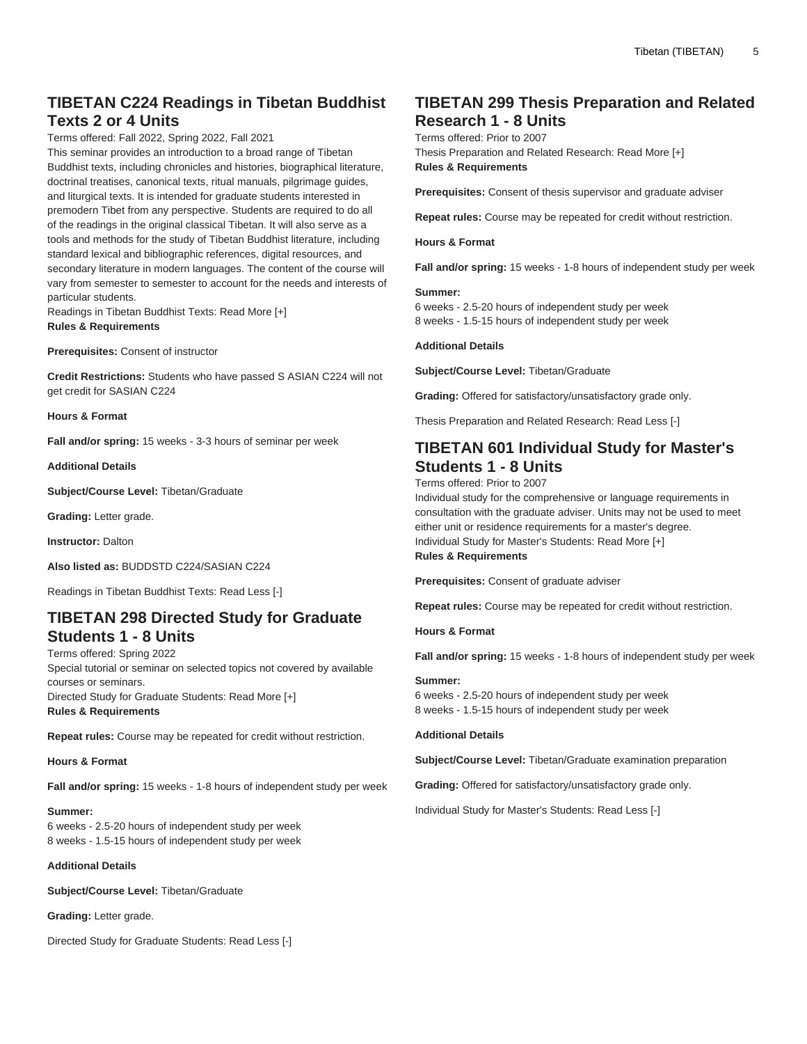### **TIBETAN C224 Readings in Tibetan Buddhist Texts 2 or 4 Units**

Terms offered: Fall 2022, Spring 2022, Fall 2021

This seminar provides an introduction to a broad range of Tibetan Buddhist texts, including chronicles and histories, biographical literature, doctrinal treatises, canonical texts, ritual manuals, pilgrimage guides, and liturgical texts. It is intended for graduate students interested in premodern Tibet from any perspective. Students are required to do all of the readings in the original classical Tibetan. It will also serve as a tools and methods for the study of Tibetan Buddhist literature, including standard lexical and bibliographic references, digital resources, and secondary literature in modern languages. The content of the course will vary from semester to semester to account for the needs and interests of particular students.

Readings in Tibetan Buddhist Texts: Read More [+] **Rules & Requirements**

**Prerequisites:** Consent of instructor

**Credit Restrictions:** Students who have passed S ASIAN C224 will not get credit for [SASIAN C224](/search/?P=SASIAN%20C224)

**Hours & Format**

**Fall and/or spring:** 15 weeks - 3-3 hours of seminar per week

**Additional Details**

**Subject/Course Level:** Tibetan/Graduate

**Grading:** Letter grade.

**Instructor:** Dalton

**Also listed as:** BUDDSTD C224/SASIAN C224

Readings in Tibetan Buddhist Texts: Read Less [-]

### **TIBETAN 298 Directed Study for Graduate Students 1 - 8 Units**

Terms offered: Spring 2022 Special tutorial or seminar on selected topics not covered by available courses or seminars. Directed Study for Graduate Students: Read More [+] **Rules & Requirements**

**Repeat rules:** Course may be repeated for credit without restriction.

#### **Hours & Format**

**Fall and/or spring:** 15 weeks - 1-8 hours of independent study per week

#### **Summer:**

6 weeks - 2.5-20 hours of independent study per week 8 weeks - 1.5-15 hours of independent study per week

#### **Additional Details**

**Subject/Course Level:** Tibetan/Graduate

**Grading:** Letter grade.

Directed Study for Graduate Students: Read Less [-]

### **TIBETAN 299 Thesis Preparation and Related Research 1 - 8 Units**

Terms offered: Prior to 2007 Thesis Preparation and Related Research: Read More [+] **Rules & Requirements**

**Prerequisites:** Consent of thesis supervisor and graduate adviser

**Repeat rules:** Course may be repeated for credit without restriction.

**Hours & Format**

**Fall and/or spring:** 15 weeks - 1-8 hours of independent study per week

#### **Summer:**

6 weeks - 2.5-20 hours of independent study per week 8 weeks - 1.5-15 hours of independent study per week

#### **Additional Details**

**Subject/Course Level:** Tibetan/Graduate

**Grading:** Offered for satisfactory/unsatisfactory grade only.

Thesis Preparation and Related Research: Read Less [-]

### **TIBETAN 601 Individual Study for Master's Students 1 - 8 Units**

Terms offered: Prior to 2007

Individual study for the comprehensive or language requirements in consultation with the graduate adviser. Units may not be used to meet either unit or residence requirements for a master's degree. Individual Study for Master's Students: Read More [+] **Rules & Requirements**

**Prerequisites:** Consent of graduate adviser

**Repeat rules:** Course may be repeated for credit without restriction.

**Hours & Format**

**Fall and/or spring:** 15 weeks - 1-8 hours of independent study per week

#### **Summer:**

6 weeks - 2.5-20 hours of independent study per week 8 weeks - 1.5-15 hours of independent study per week

#### **Additional Details**

**Subject/Course Level:** Tibetan/Graduate examination preparation

**Grading:** Offered for satisfactory/unsatisfactory grade only.

Individual Study for Master's Students: Read Less [-]